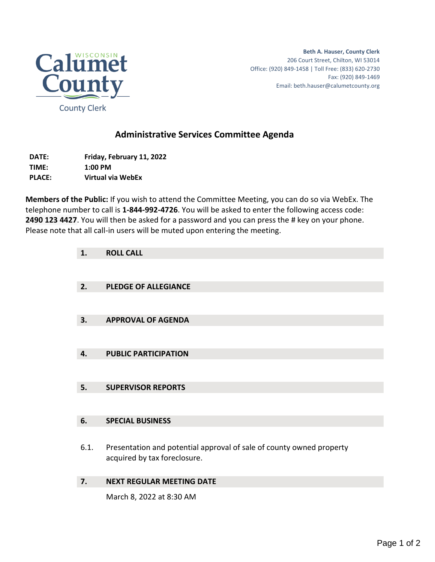

**Beth A. Hauser, County Clerk** 206 Court Street, Chilton, WI 53014 Office: (920) 849-1458 | Toll Free: (833) 620-2730 Fax: (920) 849-1469 Email: beth.hauser@calumetcounty.org

## **Administrative Services Committee Agenda**

**DATE: Friday, February 11, 2022 TIME: 1:00 PM PLACE: Virtual via WebEx**

**Members of the Public:** If you wish to attend the Committee Meeting, you can do so via WebEx. The telephone number to call is **1-844-992-4726**. You will be asked to enter the following access code: **2490 123 4427**. You will then be asked for a password and you can press the # key on your phone. Please note that all call-in users will be muted upon entering the meeting.

| 1.   | <b>ROLL CALL</b>                                                                                     |
|------|------------------------------------------------------------------------------------------------------|
|      |                                                                                                      |
| 2.   | <b>PLEDGE OF ALLEGIANCE</b>                                                                          |
|      |                                                                                                      |
| 3.   | <b>APPROVAL OF AGENDA</b>                                                                            |
|      |                                                                                                      |
| 4.   | <b>PUBLIC PARTICIPATION</b>                                                                          |
|      |                                                                                                      |
| 5.   | <b>SUPERVISOR REPORTS</b>                                                                            |
|      |                                                                                                      |
| 6.   | <b>SPECIAL BUSINESS</b>                                                                              |
|      |                                                                                                      |
| 6.1. | Presentation and potential approval of sale of county owned property<br>acquired by tax foreclosure. |

## **7. NEXT REGULAR MEETING DATE**

March 8, 2022 at 8:30 AM